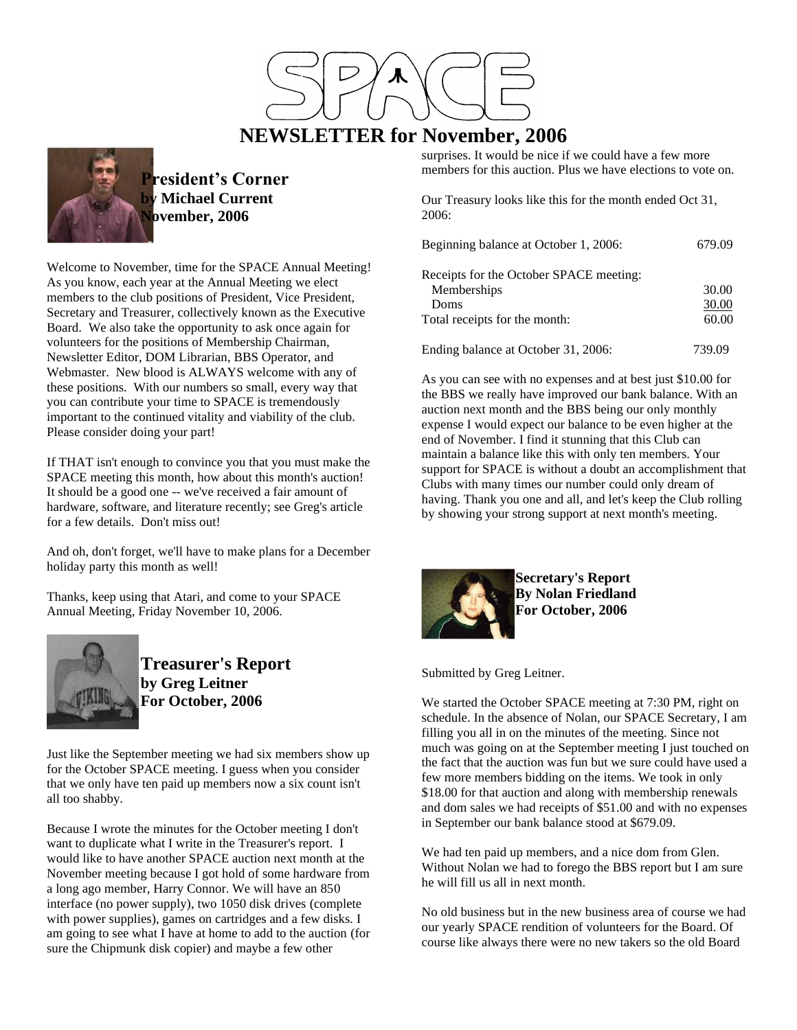

# **NEWSLETTER for November, 2006**

surprises. It would be nice if we could have a few more members for this auction. Plus we have elections to vote on.

Our Treasury looks like this for the month ended Oct 31, 2006:

| Beginning balance at October 1, 2006:   | 679.09 |
|-----------------------------------------|--------|
| Receipts for the October SPACE meeting: |        |
| Memberships                             | 30.00  |
| Doms                                    | 30.00  |
| Total receipts for the month:           | 60.00  |
| Ending balance at October 31, 2006:     | 739.09 |

As you can see with no expenses and at best just \$10.00 for the BBS we really have improved our bank balance. With an auction next month and the BBS being our only monthly expense I would expect our balance to be even higher at the end of November. I find it stunning that this Club can maintain a balance like this with only ten members. Your support for SPACE is without a doubt an accomplishment that Clubs with many times our number could only dream of having. Thank you one and all, and let's keep the Club rolling by showing your strong support at next month's meeting.



**Secretary's Report By Nolan Friedland For October, 2006**

Submitted by Greg Leitner.

We started the October SPACE meeting at 7:30 PM, right on schedule. In the absence of Nolan, our SPACE Secretary, I am filling you all in on the minutes of the meeting. Since not much was going on at the September meeting I just touched on the fact that the auction was fun but we sure could have used a few more members bidding on the items. We took in only \$18.00 for that auction and along with membership renewals and dom sales we had receipts of \$51.00 and with no expenses in September our bank balance stood at \$679.09.

We had ten paid up members, and a nice dom from Glen. Without Nolan we had to forego the BBS report but I am sure he will fill us all in next month.

No old business but in the new business area of course we had our yearly SPACE rendition of volunteers for the Board. Of course like always there were no new takers so the old Board



**President's Corner Michael Current November, 2006** 

Welcome to November, time for the SPACE Annual Meeting! As you know, each year at the Annual Meeting we elect members to the club positions of President, Vice President, Secretary and Treasurer, collectively known as the Executive Board. We also take the opportunity to ask once again for volunteers for the positions of Membership Chairman, Newsletter Editor, DOM Librarian, BBS Operator, and Webmaster. New blood is ALWAYS welcome with any of these positions. With our numbers so small, every way that you can contribute your time to SPACE is tremendously important to the continued vitality and viability of the club. Please consider doing your part!

If THAT isn't enough to convince you that you must make the SPACE meeting this month, how about this month's auction! It should be a good one -- we've received a fair amount of hardware, software, and literature recently; see Greg's article for a few details. Don't miss out!

And oh, don't forget, we'll have to make plans for a December holiday party this month as well!

Thanks, keep using that Atari, and come to your SPACE Annual Meeting, Friday November 10, 2006.



**Treasurer's Report by Greg Leitner For October, 2006**

Just like the September meeting we had six members show up for the October SPACE meeting. I guess when you consider that we only have ten paid up members now a six count isn't all too shabby.

Because I wrote the minutes for the October meeting I don't want to duplicate what I write in the Treasurer's report. I would like to have another SPACE auction next month at the November meeting because I got hold of some hardware from a long ago member, Harry Connor. We will have an 850 interface (no power supply), two 1050 disk drives (complete with power supplies), games on cartridges and a few disks. I am going to see what I have at home to add to the auction (for sure the Chipmunk disk copier) and maybe a few other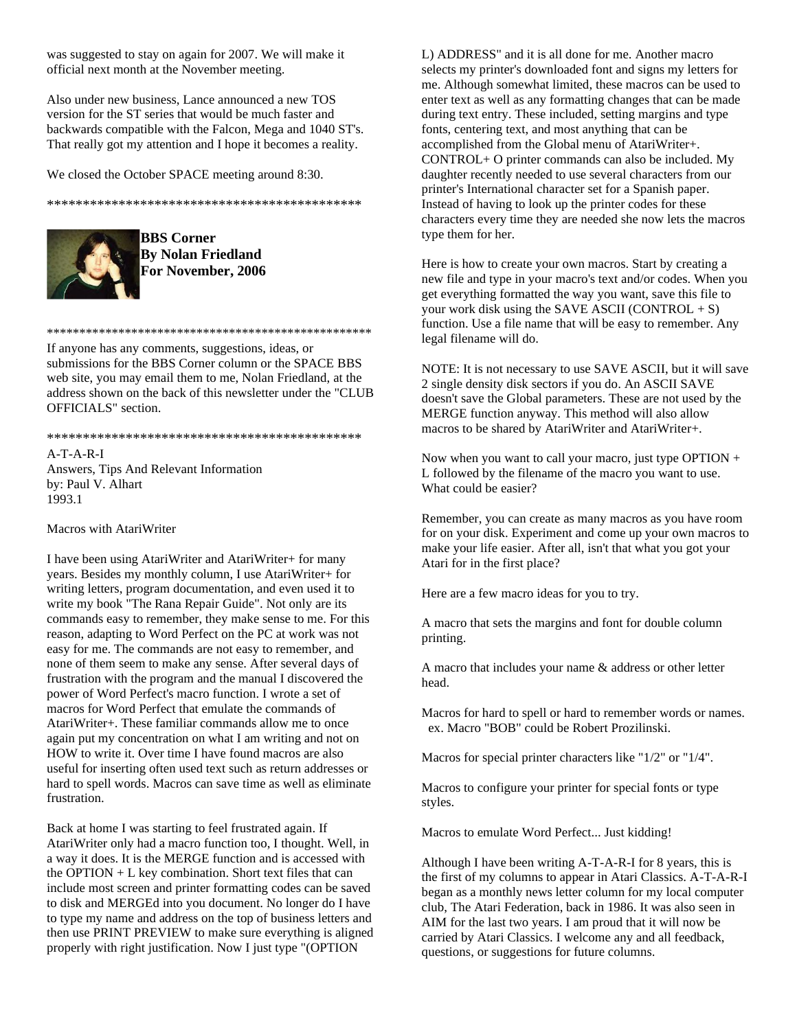was suggested to stay on again for 2007. We will make it official next month at the November meeting.

Also under new business, Lance announced a new TOS version for the ST series that would be much faster and backwards compatible with the Falcon, Mega and 1040 ST's. That really got my attention and I hope it becomes a reality.

We closed the October SPACE meeting around 8:30.

\*\*\*\*\*\*\*\*\*\*\*\*\*\*\*\*\*\*\*\*\*\*\*\*\*\*\*\*\*\*\*\*\*\*\*\*\*\*\*\*\*\*\*\*



**BBS Corner By Nolan Friedland For November, 2006**

\*\*\*\*\*\*\*\*\*\*\*\*\*\*\*\*\*\*\*\*\*\*\*\*\*\*\*\*\*\*\*\*\*\*\*\*\*\*\*\*\*\*\*\*\*\*\*\*\*\*

If anyone has any comments, suggestions, ideas, or submissions for the BBS Corner column or the SPACE BBS web site, you may email them to me, Nolan Friedland, at the address shown on the back of this newsletter under the "CLUB OFFICIALS" section.

#### \*\*\*\*\*\*\*\*\*\*\*\*\*\*\*\*\*\*\*\*\*\*\*\*\*\*\*\*\*\*\*\*\*\*\*\*\*\*\*\*\*\*\*\*

A-T-A-R-I Answers, Tips And Relevant Information by: Paul V. Alhart 1993.1

Macros with AtariWriter

I have been using AtariWriter and AtariWriter+ for many years. Besides my monthly column, I use AtariWriter+ for writing letters, program documentation, and even used it to write my book "The Rana Repair Guide". Not only are its commands easy to remember, they make sense to me. For this reason, adapting to Word Perfect on the PC at work was not easy for me. The commands are not easy to remember, and none of them seem to make any sense. After several days of frustration with the program and the manual I discovered the power of Word Perfect's macro function. I wrote a set of macros for Word Perfect that emulate the commands of AtariWriter+. These familiar commands allow me to once again put my concentration on what I am writing and not on HOW to write it. Over time I have found macros are also useful for inserting often used text such as return addresses or hard to spell words. Macros can save time as well as eliminate frustration.

Back at home I was starting to feel frustrated again. If AtariWriter only had a macro function too, I thought. Well, in a way it does. It is the MERGE function and is accessed with the OPTION + L key combination. Short text files that can include most screen and printer formatting codes can be saved to disk and MERGEd into you document. No longer do I have to type my name and address on the top of business letters and then use PRINT PREVIEW to make sure everything is aligned properly with right justification. Now I just type "(OPTION

L) ADDRESS" and it is all done for me. Another macro selects my printer's downloaded font and signs my letters for me. Although somewhat limited, these macros can be used to enter text as well as any formatting changes that can be made during text entry. These included, setting margins and type fonts, centering text, and most anything that can be accomplished from the Global menu of AtariWriter+. CONTROL+ O printer commands can also be included. My daughter recently needed to use several characters from our printer's International character set for a Spanish paper. Instead of having to look up the printer codes for these characters every time they are needed she now lets the macros type them for her.

Here is how to create your own macros. Start by creating a new file and type in your macro's text and/or codes. When you get everything formatted the way you want, save this file to your work disk using the SAVE ASCII (CONTROL  $+ S$ ) function. Use a file name that will be easy to remember. Any legal filename will do.

NOTE: It is not necessary to use SAVE ASCII, but it will save 2 single density disk sectors if you do. An ASCII SAVE doesn't save the Global parameters. These are not used by the MERGE function anyway. This method will also allow macros to be shared by AtariWriter and AtariWriter+.

Now when you want to call your macro, just type  $\text{OPTION}$  + L followed by the filename of the macro you want to use. What could be easier?

Remember, you can create as many macros as you have room for on your disk. Experiment and come up your own macros to make your life easier. After all, isn't that what you got your Atari for in the first place?

Here are a few macro ideas for you to try.

A macro that sets the margins and font for double column printing.

A macro that includes your name & address or other letter head.

Macros for hard to spell or hard to remember words or names. ex. Macro "BOB" could be Robert Prozilinski.

Macros for special printer characters like "1/2" or "1/4".

Macros to configure your printer for special fonts or type styles.

Macros to emulate Word Perfect... Just kidding!

Although I have been writing A-T-A-R-I for 8 years, this is the first of my columns to appear in Atari Classics. A-T-A-R-I began as a monthly news letter column for my local computer club, The Atari Federation, back in 1986. It was also seen in AIM for the last two years. I am proud that it will now be carried by Atari Classics. I welcome any and all feedback, questions, or suggestions for future columns.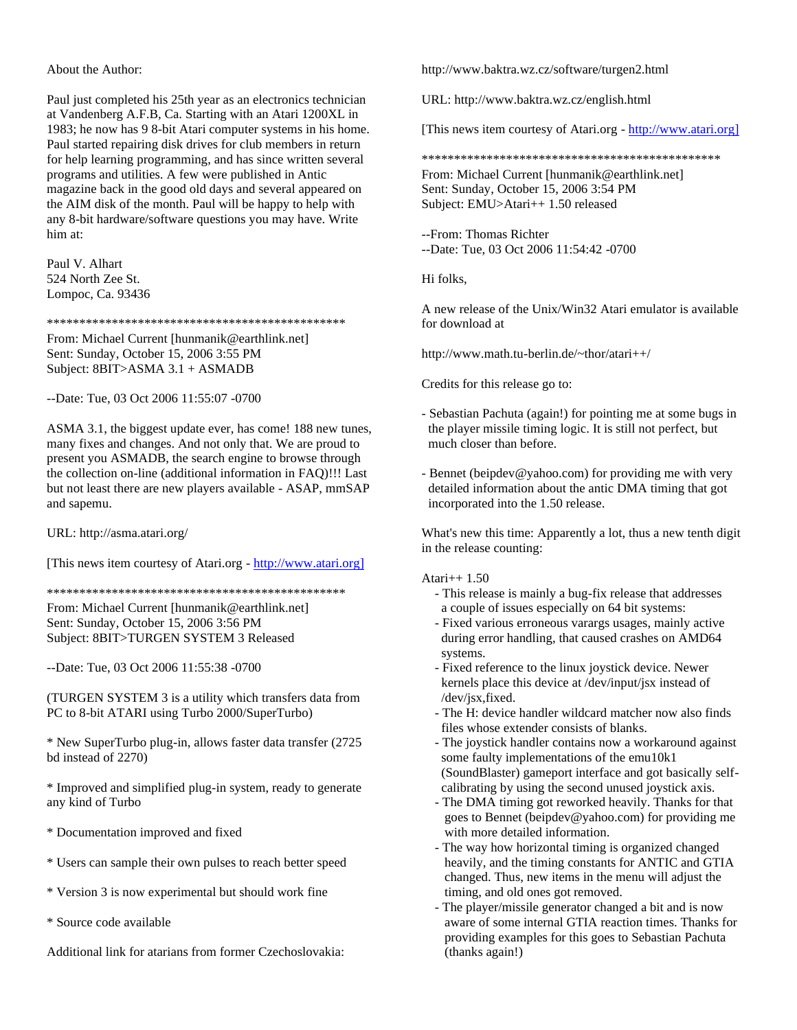About the Author:

Paul just completed his 25th year as an electronics technician at Vandenberg A.F.B, Ca. Starting with an Atari 1200XL in 1983; he now has 9 8-bit Atari computer systems in his home. Paul started repairing disk drives for club members in return for help learning programming, and has since written several programs and utilities. A few were published in Antic magazine back in the good old days and several appeared on the AIM disk of the month. Paul will be happy to help with any 8-bit hardware/software questions you may have. Write him at:

Paul V. Alhart 524 North Zee St. Lompoc, Ca. 93436

\*\*\*\*\*\*\*\*\*\*\*\*\*\*\*\*\*\*\*\*\*\*\*\*\*\*\*\*\*\*\*\*\*\*\*\*\*\*\*\*\*\*\*\*\*\*

From: Michael Current [hunmanik@earthlink.net] Sent: Sunday, October 15, 2006 3:55 PM Subject: 8BIT>ASMA 3.1 + ASMADB

--Date: Tue, 03 Oct 2006 11:55:07 -0700

ASMA 3.1, the biggest update ever, has come! 188 new tunes, many fixes and changes. And not only that. We are proud to present you ASMADB, the search engine to browse through the collection on-line (additional information in FAQ)!!! Last but not least there are new players available - ASAP, mmSAP and sapemu.

URL: http://asma.atari.org/

[This news item courtesy of Atari.org - http://www.atari.org]

\*\*\*\*\*\*\*\*\*\*\*\*\*\*\*\*\*\*\*\*\*\*\*\*\*\*\*\*\*\*\*\*\*\*\*\*\*\*\*\*\*\*\*\*\*\*

From: Michael Current [hunmanik@earthlink.net] Sent: Sunday, October 15, 2006 3:56 PM Subject: 8BIT>TURGEN SYSTEM 3 Released

--Date: Tue, 03 Oct 2006 11:55:38 -0700

(TURGEN SYSTEM 3 is a utility which transfers data from PC to 8-bit ATARI using Turbo 2000/SuperTurbo)

\* New SuperTurbo plug-in, allows faster data transfer (2725 bd instead of 2270)

\* Improved and simplified plug-in system, ready to generate any kind of Turbo

- \* Documentation improved and fixed
- \* Users can sample their own pulses to reach better speed
- \* Version 3 is now experimental but should work fine
- \* Source code available

Additional link for atarians from former Czechoslovakia:

http://www.baktra.wz.cz/software/turgen2.html

URL: http://www.baktra.wz.cz/english.html

[This news item courtesy of Atari.org - http://www.atari.org]

\*\*\*\*\*\*\*\*\*\*\*\*\*\*\*\*\*\*\*\*\*\*\*\*\*\*\*\*\*\*\*\*\*\*\*\*\*\*\*\*\*\*\*\*\*\*

From: Michael Current [hunmanik@earthlink.net] Sent: Sunday, October 15, 2006 3:54 PM Subject: EMU>Atari++ 1.50 released

--From: Thomas Richter --Date: Tue, 03 Oct 2006 11:54:42 -0700

Hi folks,

A new release of the Unix/Win32 Atari emulator is available for download at

http://www.math.tu-berlin.de/~thor/atari++/

Credits for this release go to:

- Sebastian Pachuta (again!) for pointing me at some bugs in the player missile timing logic. It is still not perfect, but much closer than before.
- Bennet (beipdev@yahoo.com) for providing me with very detailed information about the antic DMA timing that got incorporated into the 1.50 release.

What's new this time: Apparently a lot, thus a new tenth digit in the release counting:

#### Atari++ 1.50

- This release is mainly a bug-fix release that addresses a couple of issues especially on 64 bit systems:
- Fixed various erroneous varargs usages, mainly active during error handling, that caused crashes on AMD64 systems.
- Fixed reference to the linux joystick device. Newer kernels place this device at /dev/input/jsx instead of /dev/jsx,fixed.
- The H: device handler wildcard matcher now also finds files whose extender consists of blanks.
- The joystick handler contains now a workaround against some faulty implementations of the emu10k1 (SoundBlaster) gameport interface and got basically self calibrating by using the second unused joystick axis.
- The DMA timing got reworked heavily. Thanks for that goes to Bennet (beipdev@yahoo.com) for providing me with more detailed information.
- The way how horizontal timing is organized changed heavily, and the timing constants for ANTIC and GTIA changed. Thus, new items in the menu will adjust the timing, and old ones got removed.
- The player/missile generator changed a bit and is now aware of some internal GTIA reaction times. Thanks for providing examples for this goes to Sebastian Pachuta (thanks again!)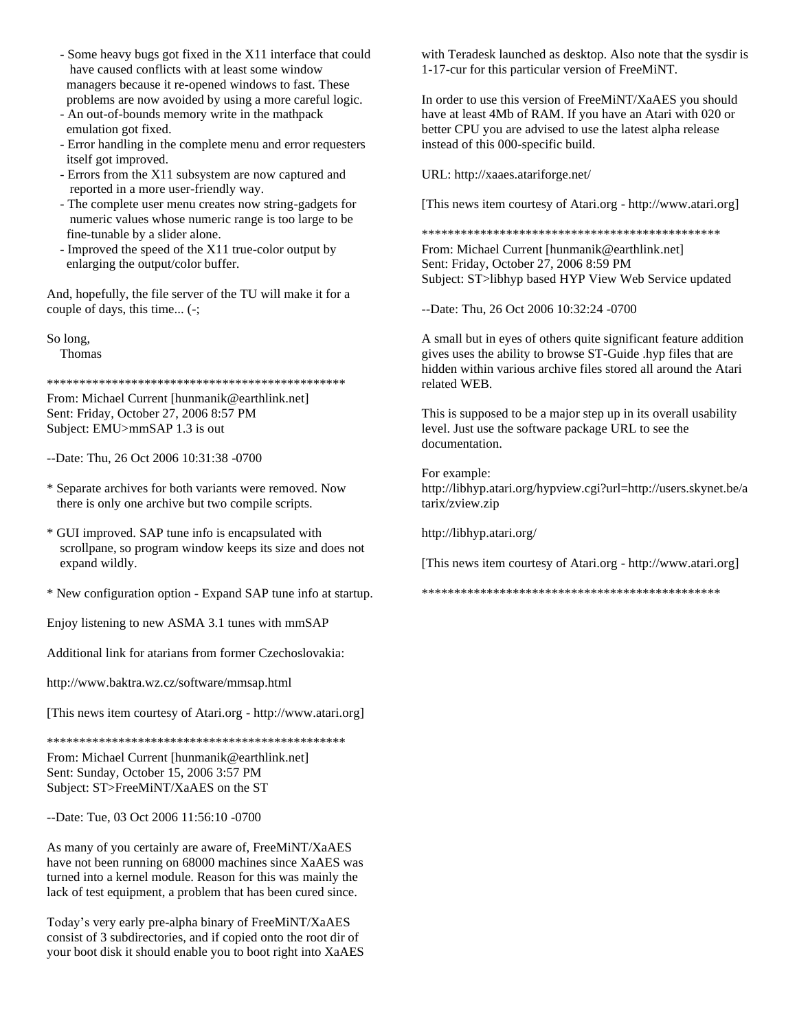- Some heavy bugs got fixed in the X11 interface that could have caused conflicts with at least some window managers because it re-opened windows to fast. These problems are now avoided by using a more careful logic.
- An out-of-bounds memory write in the mathpack emulation got fixed.
- Error handling in the complete menu and error requesters itself got improved.
- Errors from the X11 subsystem are now captured and reported in a more user-friendly way.
- The complete user menu creates now string-gadgets for numeric values whose numeric range is too large to be fine-tunable by a slider alone.
- Improved the speed of the X11 true-color output by enlarging the output/color buffer.

And, hopefully, the file server of the TU will make it for a couple of days, this time... (-;

So long,

Thomas

\*\*\*\*\*\*\*\*\*\*\*\*\*\*\*\*\*\*\*\*\*\*\*\*\*\*\*\*\*\*\*\*\*\*\*\*\*\*\*\*\*\*\*\*\*\*

From: Michael Current [hunmanik@earthlink.net] Sent: Friday, October 27, 2006 8:57 PM Subject: EMU>mmSAP 1.3 is out

--Date: Thu, 26 Oct 2006 10:31:38 -0700

- \* Separate archives for both variants were removed. Now there is only one archive but two compile scripts.
- \* GUI improved. SAP tune info is encapsulated with scrollpane, so program window keeps its size and does not expand wildly.
- \* New configuration option Expand SAP tune info at startup.

Enjoy listening to new ASMA 3.1 tunes with mmSAP

Additional link for atarians from former Czechoslovakia:

http://www.baktra.wz.cz/software/mmsap.html

[This news item courtesy of Atari.org - http://www.atari.org]

\*\*\*\*\*\*\*\*\*\*\*\*\*\*\*\*\*\*\*\*\*\*\*\*\*\*\*\*\*\*\*\*\*\*\*\*\*\*\*\*\*\*\*\*\*\*

From: Michael Current [hunmanik@earthlink.net] Sent: Sunday, October 15, 2006 3:57 PM Subject: ST>FreeMiNT/XaAES on the ST

--Date: Tue, 03 Oct 2006 11:56:10 -0700

As many of you certainly are aware of, FreeMiNT/XaAES have not been running on 68000 machines since XaAES was turned into a kernel module. Reason for this was mainly the lack of test equipment, a problem that has been cured since.

Today's very early pre-alpha binary of FreeMiNT/XaAES consist of 3 subdirectories, and if copied onto the root dir of your boot disk it should enable you to boot right into XaAES with Teradesk launched as desktop. Also note that the sysdir is 1-17-cur for this particular version of FreeMiNT.

In order to use this version of FreeMiNT/XaAES you should have at least 4Mb of RAM. If you have an Atari with 020 or better CPU you are advised to use the latest alpha release instead of this 000-specific build.

URL: http://xaaes.atariforge.net/

[This news item courtesy of Atari.org - http://www.atari.org]

\*\*\*\*\*\*\*\*\*\*\*\*\*\*\*\*\*\*\*\*\*\*\*\*\*\*\*\*\*\*\*\*\*\*\*\*\*\*\*\*\*\*\*\*\*\*

From: Michael Current [hunmanik@earthlink.net] Sent: Friday, October 27, 2006 8:59 PM Subject: ST>libhyp based HYP View Web Service updated

--Date: Thu, 26 Oct 2006 10:32:24 -0700

A small but in eyes of others quite significant feature addition gives uses the ability to browse ST-Guide .hyp files that are hidden within various archive files stored all around the Atari related WEB.

This is supposed to be a major step up in its overall usability level. Just use the software package URL to see the documentation.

For example: http://libhyp.atari.org/hypview.cgi?url=http://users.skynet.be/a tarix/zview.zip

http://libhyp.atari.org/

[This news item courtesy of Atari.org - http://www.atari.org]

\*\*\*\*\*\*\*\*\*\*\*\*\*\*\*\*\*\*\*\*\*\*\*\*\*\*\*\*\*\*\*\*\*\*\*\*\*\*\*\*\*\*\*\*\*\*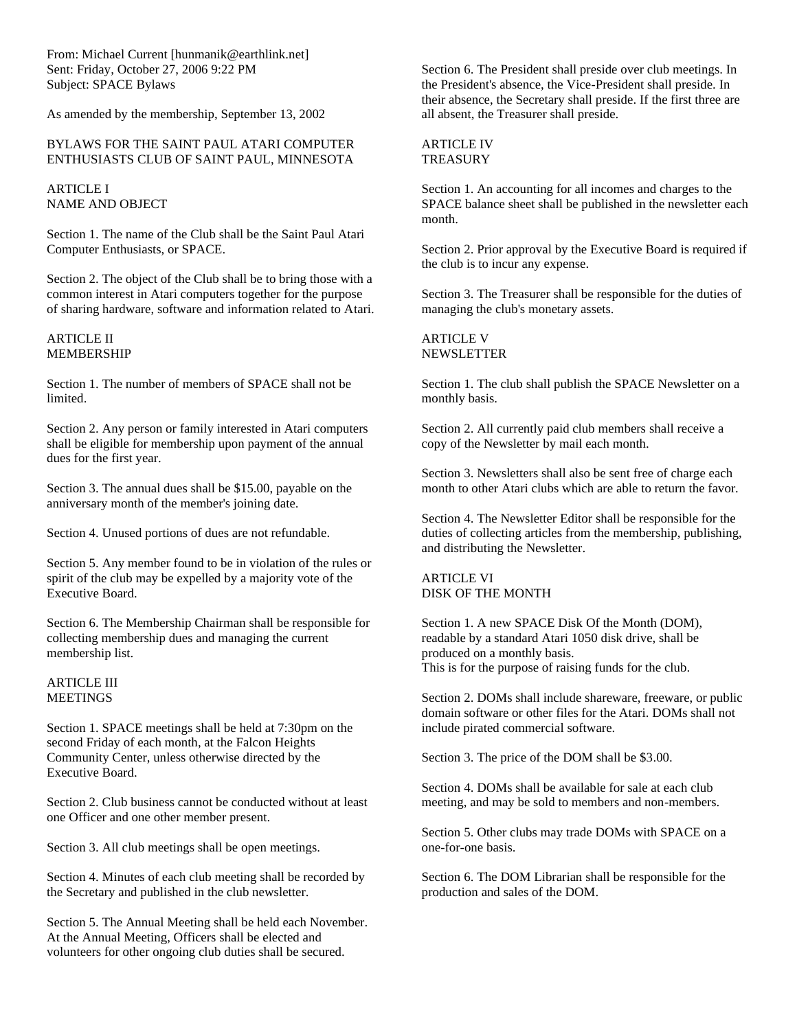From: Michael Current [hunmanik@earthlink.net] Sent: Friday, October 27, 2006 9:22 PM Subject: SPACE Bylaws

As amended by the membership, September 13, 2002

#### BYLAWS FOR THE SAINT PAUL ATARI COMPUTER ENTHUSIASTS CLUB OF SAINT PAUL, MINNESOTA

ARTICLE I NAME AND OBJECT

Section 1. The name of the Club shall be the Saint Paul Atari Computer Enthusiasts, or SPACE.

Section 2. The object of the Club shall be to bring those with a common interest in Atari computers together for the purpose of sharing hardware, software and information related to Atari.

#### ARTICLE II MEMBERSHIP

Section 1. The number of members of SPACE shall not be limited.

Section 2. Any person or family interested in Atari computers shall be eligible for membership upon payment of the annual dues for the first year.

Section 3. The annual dues shall be \$15.00, payable on the anniversary month of the member's joining date.

Section 4. Unused portions of dues are not refundable.

Section 5. Any member found to be in violation of the rules or spirit of the club may be expelled by a majority vote of the Executive Board.

Section 6. The Membership Chairman shall be responsible for collecting membership dues and managing the current membership list.

#### ARTICLE III **MEETINGS**

Section 1. SPACE meetings shall be held at 7:30pm on the second Friday of each month, at the Falcon Heights Community Center, unless otherwise directed by the Executive Board.

Section 2. Club business cannot be conducted without at least one Officer and one other member present.

Section 3. All club meetings shall be open meetings.

Section 4. Minutes of each club meeting shall be recorded by the Secretary and published in the club newsletter.

Section 5. The Annual Meeting shall be held each November. At the Annual Meeting, Officers shall be elected and volunteers for other ongoing club duties shall be secured.

Section 6. The President shall preside over club meetings. In the President's absence, the Vice-President shall preside. In their absence, the Secretary shall preside. If the first three are all absent, the Treasurer shall preside.

#### ARTICLE IV **TREASURY**

Section 1. An accounting for all incomes and charges to the SPACE balance sheet shall be published in the newsletter each month.

Section 2. Prior approval by the Executive Board is required if the club is to incur any expense.

Section 3. The Treasurer shall be responsible for the duties of managing the club's monetary assets.

ARTICLE V NEWSLETTER

Section 1. The club shall publish the SPACE Newsletter on a monthly basis.

Section 2. All currently paid club members shall receive a copy of the Newsletter by mail each month.

Section 3. Newsletters shall also be sent free of charge each month to other Atari clubs which are able to return the favor.

Section 4. The Newsletter Editor shall be responsible for the duties of collecting articles from the membership, publishing, and distributing the Newsletter.

ARTICLE VI DISK OF THE MONTH

Section 1. A new SPACE Disk Of the Month (DOM), readable by a standard Atari 1050 disk drive, shall be produced on a monthly basis. This is for the purpose of raising funds for the club.

Section 2. DOMs shall include shareware, freeware, or public domain software or other files for the Atari. DOMs shall not include pirated commercial software.

Section 3. The price of the DOM shall be \$3.00.

Section 4. DOMs shall be available for sale at each club meeting, and may be sold to members and non-members.

Section 5. Other clubs may trade DOMs with SPACE on a one-for-one basis.

Section 6. The DOM Librarian shall be responsible for the production and sales of the DOM.